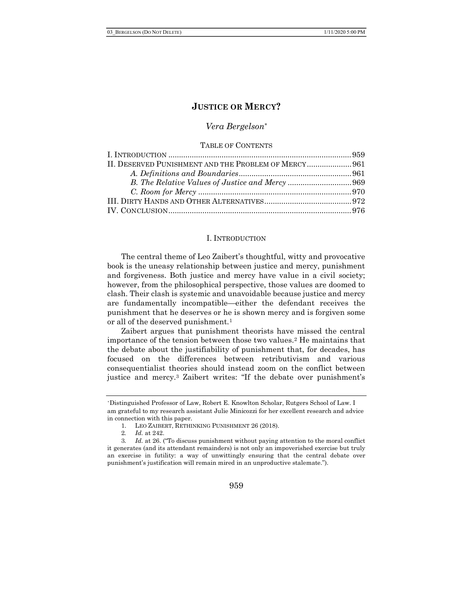#### Vera Bergelson\*

#### TABLE OF CONTENTS

| II. DESERVED PUNISHMENT AND THE PROBLEM OF MERCY 961 |  |
|------------------------------------------------------|--|
|                                                      |  |
|                                                      |  |
|                                                      |  |
|                                                      |  |
|                                                      |  |
|                                                      |  |

#### I. INTRODUCTION

The central theme of Leo Zaibert's thoughtful, witty and provocative book is the uneasy relationship between justice and mercy, punishment and forgiveness. Both justice and mercy have value in a civil society; however, from the philosophical perspective, those values are doomed to clash. Their clash is systemic and unavoidable because justice and mercy are fundamentally incompatible—either the defendant receives the punishment that he deserves or he is shown mercy and is forgiven some or all of the deserved punishment.<sup>1</sup>

Zaibert argues that punishment theorists have missed the central importance of the tension between those two values.2 He maintains that the debate about the justifiability of punishment that, for decades, has focused on the differences between retributivism and various consequentialist theories should instead zoom on the conflict between justice and mercy.3 Zaibert writes: "If the debate over punishment's

<sup>\*</sup>Distinguished Professor of Law, Robert E. Knowlton Scholar, Rutgers School of Law. I am grateful to my research assistant Julie Minicozzi for her excellent research and advice in connection with this paper.

<sup>1.</sup> LEO ZAIBERT, RETHINKING PUNISHMENT 26 (2018).

<sup>2</sup>. Id. at 242.

<sup>3</sup>. Id. at 26. ("To discuss punishment without paying attention to the moral conflict it generates (and its attendant remainders) is not only an impoverished exercise but truly an exercise in futility: a way of unwittingly ensuring that the central debate over punishment's justification will remain mired in an unproductive stalemate.").

<sup>959</sup>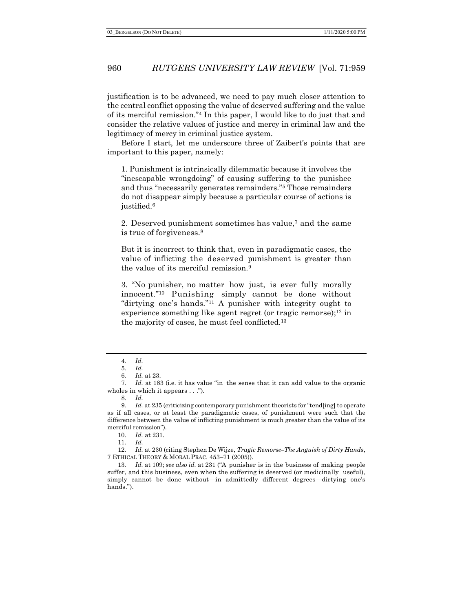justification is to be advanced, we need to pay much closer attention to the central conflict opposing the value of deserved suffering and the value of its merciful remission."4 In this paper, I would like to do just that and consider the relative values of justice and mercy in criminal law and the legitimacy of mercy in criminal justice system.

Before I start, let me underscore three of Zaibert's points that are important to this paper, namely:

1. Punishment is intrinsically dilemmatic because it involves the "inescapable wrongdoing" of causing suffering to the punishee and thus "necessarily generates remainders."5 Those remainders do not disappear simply because a particular course of actions is justified.<sup>6</sup>

2. Deserved punishment sometimes has value,7 and the same is true of forgiveness.<sup>8</sup>

But it is incorrect to think that, even in paradigmatic cases, the value of inflicting the deserved punishment is greater than the value of its merciful remission.<sup>9</sup>

3. "No punisher, no matter how just, is ever fully morally innocent."10 Punishing simply cannot be done without "dirtying one's hands."11 A punisher with integrity ought to experience something like agent regret (or tragic remorse);<sup>12</sup> in the majority of cases, he must feel conflicted.<sup>13</sup>

10. Id. at 231.

12. Id. at 230 (citing Stephen De Wijze, Tragic Remorse–The Anguish of Dirty Hands, 7 ETHICAL THEORY & MORAL PRAC. 453–71 (2005)).

13. Id. at 109; see also id. at 231 ("A punisher is in the business of making people suffer, and this business, even when the suffering is deserved (or medicinally useful), simply cannot be done without—in admittedly different degrees—dirtying one's hands.").

<sup>4</sup>. Id.

<sup>5</sup>. Id.

<sup>6</sup>. Id. at 23.

<sup>7</sup>. Id. at 183 (i.e. it has value "in the sense that it can add value to the organic wholes in which it appears . . .").

<sup>8</sup>. Id.

<sup>9.</sup> Id. at 235 (criticizing contemporary punishment theorists for "tend[ing] to operate as if all cases, or at least the paradigmatic cases, of punishment were such that the difference between the value of inflicting punishment is much greater than the value of its merciful remission").

<sup>11</sup>. Id.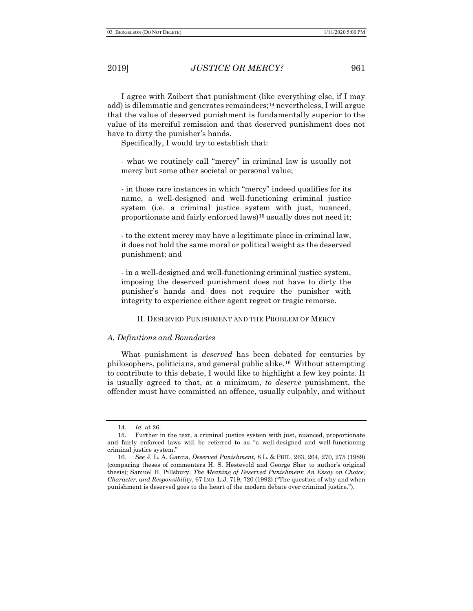I agree with Zaibert that punishment (like everything else, if I may add) is dilemmatic and generates remainders;14 nevertheless, I will argue that the value of deserved punishment is fundamentally superior to the value of its merciful remission and that deserved punishment does not have to dirty the punisher's hands.

Specifically, I would try to establish that:

- what we routinely call "mercy" in criminal law is usually not mercy but some other societal or personal value;

- in those rare instances in which "mercy" indeed qualifies for its name, a well-designed and well-functioning criminal justice system (i.e. a criminal justice system with just, nuanced, proportionate and fairly enforced laws)<sup>15</sup> usually does not need it;

- to the extent mercy may have a legitimate place in criminal law, it does not hold the same moral or political weight as the deserved punishment; and

- in a well-designed and well-functioning criminal justice system, imposing the deserved punishment does not have to dirty the punisher's hands and does not require the punisher with integrity to experience either agent regret or tragic remorse.

II. DESERVED PUNISHMENT AND THE PROBLEM OF MERCY

#### A. Definitions and Boundaries

What punishment is *deserved* has been debated for centuries by philosophers, politicians, and general public alike.16 Without attempting to contribute to this debate, I would like to highlight a few key points. It is usually agreed to that, at a minimum, to deserve punishment, the offender must have committed an offence, usually culpably, and without

<sup>14</sup>. Id. at 26.

<sup>15.</sup> Further in the text, a criminal justice system with just, nuanced, proportionate and fairly enforced laws will be referred to as "a well-designed and well-functioning criminal justice system."

<sup>16</sup>. See J. L. A. Garcia, Deserved Punishment, 8 L. & PHIL. 263, 264, 270, 275 (1989) (comparing theses of commenters H. S. Hestevold and George Sher to author's original thesis); Samuel H. Pillsbury, The Meaning of Deserved Punishment: An Essay on Choice, Character, and Responsibility, 67 IND. L.J. 719, 720 (1992) ("The question of why and when punishment is deserved goes to the heart of the modern debate over criminal justice.").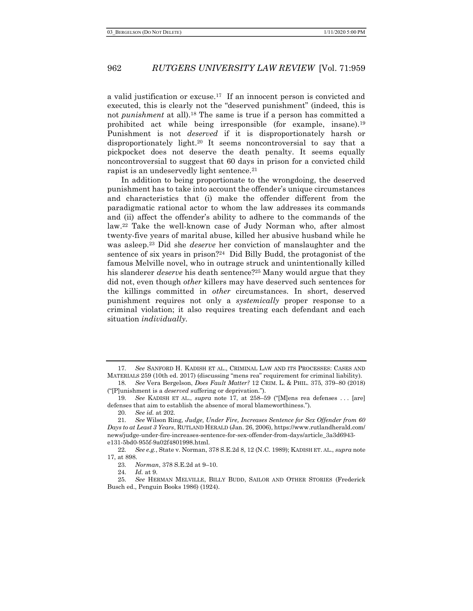a valid justification or excuse.17 If an innocent person is convicted and executed, this is clearly not the "deserved punishment" (indeed, this is not punishment at all).18 The same is true if a person has committed a prohibited act while being irresponsible (for example, insane).<sup>19</sup> Punishment is not deserved if it is disproportionately harsh or disproportionately light.20 It seems noncontroversial to say that a pickpocket does not deserve the death penalty. It seems equally noncontroversial to suggest that 60 days in prison for a convicted child rapist is an undeservedly light sentence.<sup>21</sup>

In addition to being proportionate to the wrongdoing, the deserved punishment has to take into account the offender's unique circumstances and characteristics that (i) make the offender different from the paradigmatic rational actor to whom the law addresses its commands and (ii) affect the offender's ability to adhere to the commands of the law.22 Take the well-known case of Judy Norman who, after almost twenty-five years of marital abuse, killed her abusive husband while he was asleep.<sup>23</sup> Did she *deserve* her conviction of manslaughter and the sentence of six years in prison?24 Did Billy Budd, the protagonist of the famous Melville novel, who in outrage struck and unintentionally killed his slanderer *deserve* his death sentence?<sup>25</sup> Many would argue that they did not, even though other killers may have deserved such sentences for the killings committed in other circumstances. In short, deserved punishment requires not only a systemically proper response to a criminal violation; it also requires treating each defendant and each situation individually.

<sup>17</sup>. See SANFORD H. KADISH ET AL., CRIMINAL LAW AND ITS PROCESSES: CASES AND MATERIALS 259 (10th ed. 2017) (discussing "mens rea" requirement for criminal liability).

<sup>18</sup>. See Vera Bergelson, Does Fault Matter? 12 CRIM. L. & PHIL. 375, 379–80 (2018) ("[P]unishment is a deserved suffering or deprivation.").

<sup>19</sup>. See KADISH ET AL., supra note 17, at 258–59 ("[M]ens rea defenses . . . [are] defenses that aim to establish the absence of moral blameworthiness.").

<sup>20</sup>. See id. at 202.

<sup>21</sup>. See Wilson Ring, Judge, Under Fire, Increases Sentence for Sex Offender from 60 Days to at Least 3 Years, RUTLAND HERALD (Jan. 26, 2006), https://www.rutlandherald.com/ news/judge-under-fire-increases-sentence-for-sex-offender-from-days/article\_3a3d6943 e131-5bd0-955f-9a02f4801998.html.

<sup>22.</sup> See e.g., State v. Norman, 378 S.E.2d 8, 12 (N.C. 1989); KADISH ET. AL., supra note 17, at 898.

<sup>23</sup>. Norman, 378 S.E.2d at 9–10.

<sup>24</sup>. Id. at 9.

<sup>25</sup>. See HERMAN MELVILLE, BILLY BUDD, SAILOR AND OTHER STORIES (Frederick Busch ed., Penguin Books 1986) (1924).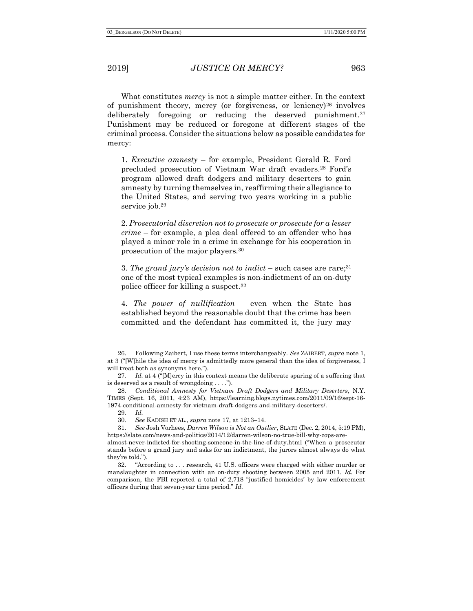What constitutes *mercy* is not a simple matter either. In the context of punishment theory, mercy (or forgiveness, or leniency)26 involves deliberately foregoing or reducing the deserved punishment.<sup>27</sup> Punishment may be reduced or foregone at different stages of the criminal process. Consider the situations below as possible candidates for mercy:

1. Executive amnesty – for example, President Gerald R. Ford precluded prosecution of Vietnam War draft evaders.28 Ford's program allowed draft dodgers and military deserters to gain amnesty by turning themselves in, reaffirming their allegiance to the United States, and serving two years working in a public service job.<sup>29</sup>

2. Prosecutorial discretion not to prosecute or prosecute for a lesser crime – for example, a plea deal offered to an offender who has played a minor role in a crime in exchange for his cooperation in prosecution of the major players.<sup>30</sup>

3. The grand jury's decision not to indict – such cases are rare;  $31$ one of the most typical examples is non-indictment of an on-duty police officer for killing a suspect.<sup>32</sup>

4. The power of nullification – even when the State has established beyond the reasonable doubt that the crime has been committed and the defendant has committed it, the jury may

29. Id.

<sup>26.</sup> Following Zaibert, I use these terms interchangeably. See ZAIBERT, supra note 1, at 3 ("[W]hile the idea of mercy is admittedly more general than the idea of forgiveness, I will treat both as synonyms here.").

<sup>27.</sup> Id. at 4 ("[M]ercy in this context means the deliberate sparing of a suffering that is deserved as a result of wrongdoing . . . .").

<sup>28</sup>. Conditional Amnesty for Vietnam Draft Dodgers and Military Deserters, N.Y. TIMES (Sept. 16, 2011, 4:23 AM), https://learning.blogs.nytimes.com/2011/09/16/sept-16- 1974-conditional-amnesty-for-vietnam-draft-dodgers-and-military-deserters/.

<sup>30</sup>. See KADISH ET AL., supra note 17, at 1213–14.

<sup>31</sup>. See Josh Vorhees, Darren Wilson is Not an Outlier, SLATE (Dec. 2, 2014, 5:19 PM), https://slate.com/news-and-politics/2014/12/darren-wilson-no-true-bill-why-cops-are-

almost-never-indicted-for-shooting-someone-in-the-line-of-duty.html ("When a prosecutor stands before a grand jury and asks for an indictment, the jurors almost always do what they're told.").

<sup>32. &</sup>quot;According to . . . research, 41 U.S. officers were charged with either murder or manslaughter in connection with an on-duty shooting between 2005 and 2011. Id. For comparison, the FBI reported a total of 2,718 "justified homicides' by law enforcement officers during that seven-year time period." Id.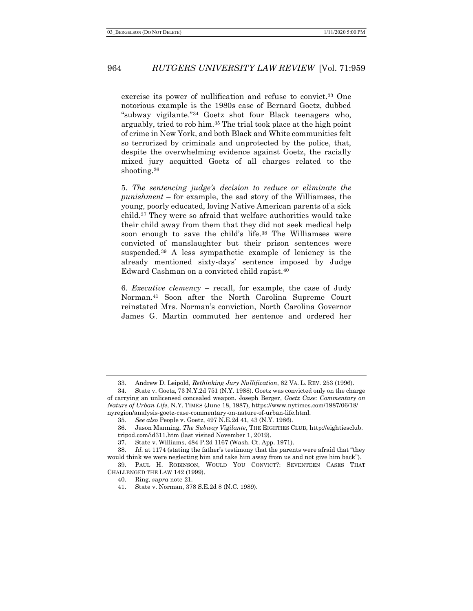exercise its power of nullification and refuse to convict.<sup>33</sup> One notorious example is the 1980s case of Bernard Goetz, dubbed "subway vigilante."34 Goetz shot four Black teenagers who, arguably, tried to rob him.35 The trial took place at the high point of crime in New York, and both Black and White communities felt so terrorized by criminals and unprotected by the police, that, despite the overwhelming evidence against Goetz, the racially mixed jury acquitted Goetz of all charges related to the shooting.<sup>36</sup>

5. The sentencing judge's decision to reduce or eliminate the punishment – for example, the sad story of the Williamses, the young, poorly educated, loving Native American parents of a sick child.37 They were so afraid that welfare authorities would take their child away from them that they did not seek medical help soon enough to save the child's life.<sup>38</sup> The Williamses were convicted of manslaughter but their prison sentences were suspended.39 A less sympathetic example of leniency is the already mentioned sixty-days' sentence imposed by Judge Edward Cashman on a convicted child rapist.<sup>40</sup>

6. Executive clemency – recall, for example, the case of Judy Norman.41 Soon after the North Carolina Supreme Court reinstated Mrs. Norman's conviction, North Carolina Governor James G. Martin commuted her sentence and ordered her

<sup>33.</sup> Andrew D. Leipold, Rethinking Jury Nullification, 82 VA. L. REV. 253 (1996).

<sup>34.</sup> State v. Goetz, 73 N.Y.2d 751 (N.Y. 1988). Goetz was convicted only on the charge of carrying an unlicensed concealed weapon. Joseph Berger, Goetz Case: Commentary on Nature of Urban Life, N.Y. TIMES (June 18, 1987), https://www.nytimes.com/1987/06/18/ nyregion/analysis-goetz-case-commentary-on-nature-of-urban-life.html.

<sup>35</sup>. See also People v. Goetz, 497 N.E.2d 41, 43 (N.Y. 1986).

<sup>36.</sup> Jason Manning, The Subway Vigilante, THE EIGHTIES CLUB, http://eightiesclub. tripod.com/id311.htm (last visited November 1, 2019).

<sup>37.</sup> State v. Williams, 484 P.2d 1167 (Wash. Ct. App. 1971).

<sup>38.</sup> Id. at 1174 (stating the father's testimony that the parents were afraid that "they would think we were neglecting him and take him away from us and not give him back").

<sup>39.</sup> PAUL H. ROBINSON, WOULD YOU CONVICT?: SEVENTEEN CASES THAT CHALLENGED THE LAW 142 (1999).

<sup>40.</sup> Ring, supra note 21.

<sup>41.</sup> State v. Norman, 378 S.E.2d 8 (N.C. 1989).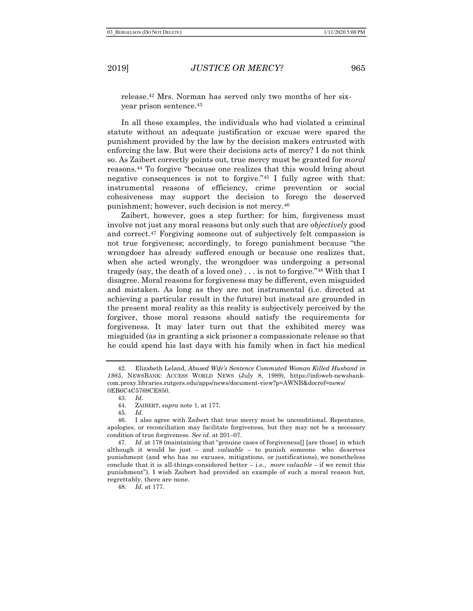release.42 Mrs. Norman has served only two months of her sixyear prison sentence.<sup>43</sup>

In all these examples, the individuals who had violated a criminal statute without an adequate justification or excuse were spared the punishment provided by the law by the decision makers entrusted with enforcing the law. But were their decisions acts of mercy? I do not think so. As Zaibert correctly points out, true mercy must be granted for moral reasons.44 To forgive "because one realizes that this would bring about negative consequences is not to forgive."45 I fully agree with that: instrumental reasons of efficiency, crime prevention or social cohesiveness may support the decision to forego the deserved punishment; however, such decision is not mercy.<sup>46</sup>

Zaibert, however, goes a step further: for him, forgiveness must involve not just any moral reasons but only such that are objectively good and correct. <sup>47</sup> Forgiving someone out of subjectively felt compassion is not true forgiveness; accordingly, to forego punishment because "the wrongdoer has already suffered enough or because one realizes that, when she acted wrongly, the wrongdoer was undergoing a personal tragedy (say, the death of a loved one) . . . is not to forgive."48 With that I disagree. Moral reasons for forgiveness may be different, even misguided and mistaken. As long as they are not instrumental (i.e. directed at achieving a particular result in the future) but instead are grounded in the present moral reality as this reality is subjectively perceived by the forgiver, those moral reasons should satisfy the requirements for forgiveness. It may later turn out that the exhibited mercy was misguided (as in granting a sick prisoner a compassionate release so that he could spend his last days with his family when in fact his medical

48. Id. at 177.

<sup>42.</sup> Elizabeth Leland, Abused Wife's Sentence Commuted Woman Killed Husband in 1985, NEWSBANK: ACCESS WORLD NEWS (July 8, 1989), https://infoweb-newsbankcom.proxy.libraries.rutgers.edu/apps/news/document-view?p=AWNB&docref=news/ 0EB6C4C5769CE850.

<sup>43</sup>. Id.

<sup>44.</sup> ZAIBERT, supra note 1, at 177.

<sup>45</sup>. Id.

<sup>46.</sup> I also agree with Zaibert that true mercy must be unconditional. Repentance, apologies, or reconciliation may facilitate forgiveness, but they may not be a necessary condition of true forgiveness. See id. at 201–07.

<sup>47.</sup> *Id.* at 178 (maintaining that "genuine cases of forgiveness<sup>[]</sup> [are those] in which although it would be just – and  $value - to$  punish someone who deserves punishment (and who has no excuses, mitigations, or justifications), we nonetheless conclude that it is all-things-considered better  $-$  i.e., more valuable  $-$  if we remit this punishment"). I wish Zaibert had provided an example of such a moral reason but, regrettably, there are none.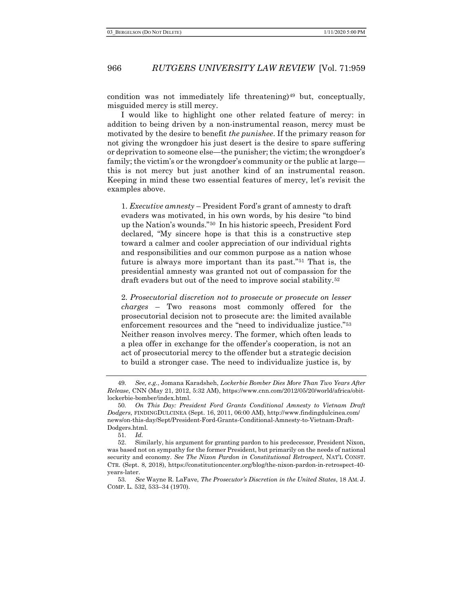condition was not immediately life threatening)<sup>49</sup> but, conceptually, misguided mercy is still mercy.

I would like to highlight one other related feature of mercy: in addition to being driven by a non-instrumental reason, mercy must be motivated by the desire to benefit *the punishee*. If the primary reason for not giving the wrongdoer his just desert is the desire to spare suffering or deprivation to someone else—the punisher; the victim; the wrongdoer's family; the victim's or the wrongdoer's community or the public at large this is not mercy but just another kind of an instrumental reason. Keeping in mind these two essential features of mercy, let's revisit the examples above.

1. Executive amnesty – President Ford's grant of amnesty to draft evaders was motivated, in his own words, by his desire "to bind up the Nation's wounds."50 In his historic speech, President Ford declared, "My sincere hope is that this is a constructive step toward a calmer and cooler appreciation of our individual rights and responsibilities and our common purpose as a nation whose future is always more important than its past."51 That is, the presidential amnesty was granted not out of compassion for the draft evaders but out of the need to improve social stability.<sup>52</sup>

2. Prosecutorial discretion not to prosecute or prosecute on lesser charges – Two reasons most commonly offered for the prosecutorial decision not to prosecute are: the limited available enforcement resources and the "need to individualize justice."<sup>53</sup> Neither reason involves mercy. The former, which often leads to a plea offer in exchange for the offender's cooperation, is not an act of prosecutorial mercy to the offender but a strategic decision to build a stronger case. The need to individualize justice is, by

<sup>49</sup>. See, e.g., Jomana Karadsheh, Lockerbie Bomber Dies More Than Two Years After Release, CNN (May 21, 2012, 5:32 AM), https://www.cnn.com/2012/05/20/world/africa/obitlockerbie-bomber/index.html.

<sup>50</sup>. On This Day: President Ford Grants Conditional Amnesty to Vietnam Draft Dodgers, FINDINGDULCINEA (Sept. 16, 2011, 06:00 AM), http://www.findingdulcinea.com/ news/on-this-day/Sept/President-Ford-Grants-Conditional-Amnesty-to-Vietnam-Draft-Dodgers.html.

<sup>51</sup>. Id.

<sup>52.</sup> Similarly, his argument for granting pardon to his predecessor, President Nixon, was based not on sympathy for the former President, but primarily on the needs of national security and economy. See The Nixon Pardon in Constitutional Retrospect, NAT'L CONST. CTR. (Sept. 8, 2018), https://constitutioncenter.org/blog/the-nixon-pardon-in-retrospect-40 years-later.

<sup>53</sup>. See Wayne R. LaFave, The Prosecutor's Discretion in the United States, 18 AM. J. COMP. L. 532, 533–34 (1970).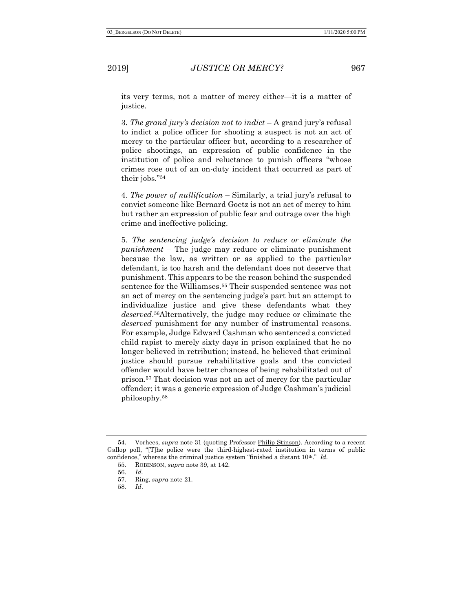its very terms, not a matter of mercy either—it is a matter of justice.

3. The grand jury's decision not to indict  $-A$  grand jury's refusal to indict a police officer for shooting a suspect is not an act of mercy to the particular officer but, according to a researcher of police shootings, an expression of public confidence in the institution of police and reluctance to punish officers "whose crimes rose out of an on-duty incident that occurred as part of their jobs."<sup>54</sup>

4. The power of nullification – Similarly, a trial jury's refusal to convict someone like Bernard Goetz is not an act of mercy to him but rather an expression of public fear and outrage over the high crime and ineffective policing.

5. The sentencing judge's decision to reduce or eliminate the punishment – The judge may reduce or eliminate punishment because the law, as written or as applied to the particular defendant, is too harsh and the defendant does not deserve that punishment. This appears to be the reason behind the suspended sentence for the Williamses.55 Their suspended sentence was not an act of mercy on the sentencing judge's part but an attempt to individualize justice and give these defendants what they deserved.<sup>56</sup>Alternatively, the judge may reduce or eliminate the deserved punishment for any number of instrumental reasons. For example, Judge Edward Cashman who sentenced a convicted child rapist to merely sixty days in prison explained that he no longer believed in retribution; instead, he believed that criminal justice should pursue rehabilitative goals and the convicted offender would have better chances of being rehabilitated out of prison.57 That decision was not an act of mercy for the particular offender; it was a generic expression of Judge Cashman's judicial philosophy.<sup>58</sup>

<sup>54.</sup> Vorhees, supra note 31 (quoting Professor Philip Stinson). According to a recent Gallop poll, "[T]he police were the third-highest-rated institution in terms of public confidence," whereas the criminal justice system "finished a distant  $10^{\text{th}}$ ." Id.

<sup>55.</sup> ROBINSON, supra note 39, at 142.

<sup>56</sup>. Id.

<sup>57.</sup> Ring, supra note 21.

<sup>58</sup>. Id.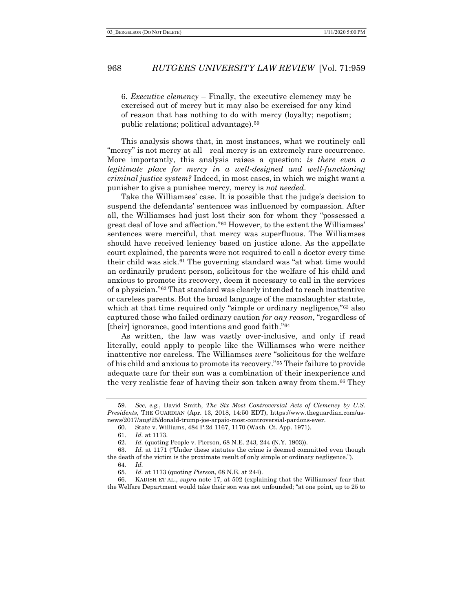6. Executive clemency – Finally, the executive clemency may be exercised out of mercy but it may also be exercised for any kind of reason that has nothing to do with mercy (loyalty; nepotism; public relations; political advantage).<sup>59</sup>

This analysis shows that, in most instances, what we routinely call "mercy" is not mercy at all—real mercy is an extremely rare occurrence. More importantly, this analysis raises a question: is there even  $\alpha$ legitimate place for mercy in a well-designed and well-functioning criminal justice system? Indeed, in most cases, in which we might want a punisher to give a punishee mercy, mercy is not needed.

Take the Williamses' case. It is possible that the judge's decision to suspend the defendants' sentences was influenced by compassion. After all, the Williamses had just lost their son for whom they "possessed a great deal of love and affection."60 However, to the extent the Williamses' sentences were merciful, that mercy was superfluous. The Williamses should have received leniency based on justice alone. As the appellate court explained, the parents were not required to call a doctor every time their child was sick.61 The governing standard was "at what time would an ordinarily prudent person, solicitous for the welfare of his child and anxious to promote its recovery, deem it necessary to call in the services of a physician."62 That standard was clearly intended to reach inattentive or careless parents. But the broad language of the manslaughter statute, which at that time required only "simple or ordinary negligence,"<sup>63</sup> also captured those who failed ordinary caution for any reason, "regardless of [their] ignorance, good intentions and good faith."<sup>64</sup>

As written, the law was vastly over-inclusive, and only if read literally, could apply to people like the Williamses who were neither inattentive nor careless. The Williamses were "solicitous for the welfare of his child and anxious to promote its recovery."65 Their failure to provide adequate care for their son was a combination of their inexperience and the very realistic fear of having their son taken away from them.66 They

<sup>59</sup>. See, e.g., David Smith, The Six Most Controversial Acts of Clemency by U.S. Presidents, THE GUARDIAN (Apr. 13, 2018, 14:50 EDT), https://www.theguardian.com/usnews/2017/aug/25/donald-trump-joe-arpaio-most-controversial-pardons-ever.

<sup>60.</sup> State v. Williams, 484 P.2d 1167, 1170 (Wash. Ct. App. 1971).

<sup>61</sup>. Id. at 1173.

<sup>62</sup>. Id. (quoting People v. Pierson, 68 N.E. 243, 244 (N.Y. 1903)).

<sup>63</sup>. Id. at 1171 ("Under these statutes the crime is deemed committed even though the death of the victim is the proximate result of only simple or ordinary negligence."). 64. Id.

<sup>65</sup>. Id. at 1173 (quoting Pierson, 68 N.E. at 244).

<sup>66.</sup> KADISH ET AL., supra note 17, at 502 (explaining that the Williamses' fear that the Welfare Department would take their son was not unfounded; "at one point, up to 25 to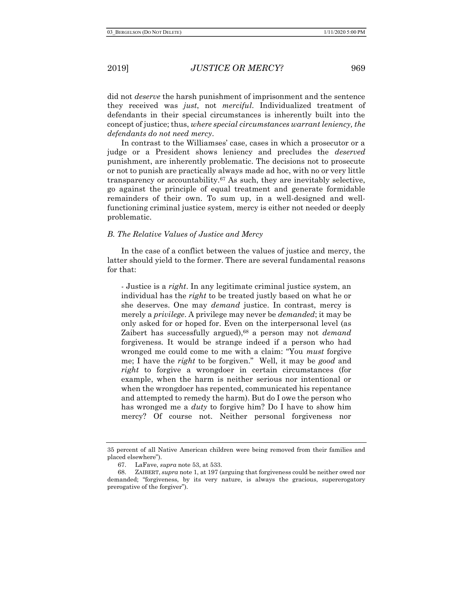did not *deserve* the harsh punishment of imprisonment and the sentence they received was just, not merciful. Individualized treatment of defendants in their special circumstances is inherently built into the concept of justice; thus, where special circumstances warrant leniency, the defendants do not need mercy.

In contrast to the Williamses' case, cases in which a prosecutor or a judge or a President shows leniency and precludes the *deserved* punishment, are inherently problematic. The decisions not to prosecute or not to punish are practically always made ad hoc, with no or very little transparency or accountability.67 As such, they are inevitably selective, go against the principle of equal treatment and generate formidable remainders of their own. To sum up, in a well-designed and wellfunctioning criminal justice system, mercy is either not needed or deeply problematic.

#### B. The Relative Values of Justice and Mercy

In the case of a conflict between the values of justice and mercy, the latter should yield to the former. There are several fundamental reasons for that:

- Justice is a *right*. In any legitimate criminal justice system, an individual has the right to be treated justly based on what he or she deserves. One may *demand* justice. In contrast, mercy is merely a privilege. A privilege may never be demanded; it may be only asked for or hoped for. Even on the interpersonal level (as Zaibert has successfully argued), $68$  a person may not *demand* forgiveness. It would be strange indeed if a person who had wronged me could come to me with a claim: "You must forgive me; I have the right to be forgiven." Well, it may be good and right to forgive a wrongdoer in certain circumstances (for example, when the harm is neither serious nor intentional or when the wrongdoer has repented, communicated his repentance and attempted to remedy the harm). But do I owe the person who has wronged me a *duty* to forgive him? Do I have to show him mercy? Of course not. Neither personal forgiveness nor

<sup>35</sup> percent of all Native American children were being removed from their families and placed elsewhere").

<sup>67.</sup> LaFave, supra note 53, at 533.

<sup>68.</sup> ZAIBERT, supra note 1, at 197 (arguing that forgiveness could be neither owed nor demanded; "forgiveness, by its very nature, is always the gracious, supererogatory prerogative of the forgiver").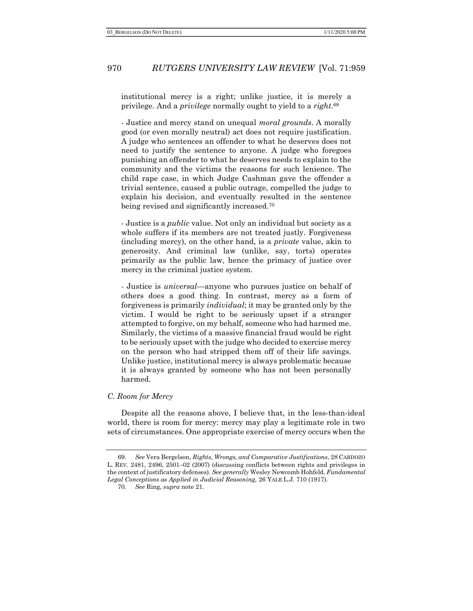institutional mercy is a right; unlike justice, it is merely a privilege. And a *privilege* normally ought to yield to a *right*.<sup>69</sup>

- Justice and mercy stand on unequal moral grounds. A morally good (or even morally neutral) act does not require justification. A judge who sentences an offender to what he deserves does not need to justify the sentence to anyone. A judge who foregoes punishing an offender to what he deserves needs to explain to the community and the victims the reasons for such lenience. The child rape case, in which Judge Cashman gave the offender a trivial sentence, caused a public outrage, compelled the judge to explain his decision, and eventually resulted in the sentence being revised and significantly increased.<sup>70</sup>

- Justice is a *public* value. Not only an individual but society as a whole suffers if its members are not treated justly. Forgiveness (including mercy), on the other hand, is a private value, akin to generosity. And criminal law (unlike, say, torts) operates primarily as the public law, hence the primacy of justice over mercy in the criminal justice system.

- Justice is *universal*—anyone who pursues justice on behalf of others does a good thing. In contrast, mercy as a form of forgiveness is primarily individual; it may be granted only by the victim. I would be right to be seriously upset if a stranger attempted to forgive, on my behalf, someone who had harmed me. Similarly, the victims of a massive financial fraud would be right to be seriously upset with the judge who decided to exercise mercy on the person who had stripped them off of their life savings. Unlike justice, institutional mercy is always problematic because it is always granted by someone who has not been personally harmed.

#### C. Room for Mercy

Despite all the reasons above, I believe that, in the less-than-ideal world, there is room for mercy: mercy may play a legitimate role in two sets of circumstances. One appropriate exercise of mercy occurs when the

<sup>69</sup>. See Vera Bergelson, Rights, Wrongs, and Comparative Justifications, 28 CARDOZO L. REV. 2481, 2496, 2501–02 (2007) (discussing conflicts between rights and privileges in the context of justificatory defenses). See generally Wesley Newcomb Hohfeld, Fundamental Legal Conceptions as Applied in Judicial Reasoning, 26 YALE L.J. 710 (1917).

<sup>70</sup>. See Ring, supra note 21.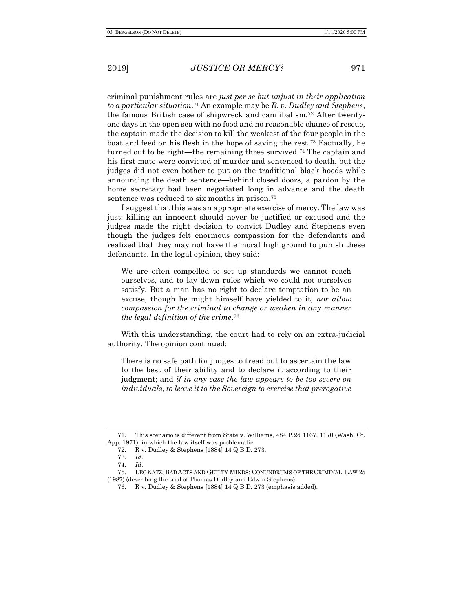criminal punishment rules are just per se but unjust in their application to a particular situation.<sup>71</sup> An example may be R. v. Dudley and Stephens, the famous British case of shipwreck and cannibalism.72 After twentyone days in the open sea with no food and no reasonable chance of rescue, the captain made the decision to kill the weakest of the four people in the boat and feed on his flesh in the hope of saving the rest.73 Factually, he turned out to be right—the remaining three survived.74 The captain and his first mate were convicted of murder and sentenced to death, but the judges did not even bother to put on the traditional black hoods while announcing the death sentence—behind closed doors, a pardon by the home secretary had been negotiated long in advance and the death sentence was reduced to six months in prison.<sup>75</sup>

I suggest that this was an appropriate exercise of mercy. The law was just: killing an innocent should never be justified or excused and the judges made the right decision to convict Dudley and Stephens even though the judges felt enormous compassion for the defendants and realized that they may not have the moral high ground to punish these defendants. In the legal opinion, they said:

We are often compelled to set up standards we cannot reach ourselves, and to lay down rules which we could not ourselves satisfy. But a man has no right to declare temptation to be an excuse, though he might himself have yielded to it, nor allow compassion for the criminal to change or weaken in any manner the legal definition of the crime. 76

With this understanding, the court had to rely on an extra-judicial authority. The opinion continued:

There is no safe path for judges to tread but to ascertain the law to the best of their ability and to declare it according to their judgment; and if in any case the law appears to be too severe on individuals, to leave it to the Sovereign to exercise that prerogative

<sup>71.</sup> This scenario is different from State v. Williams, 484 P.2d 1167, 1170 (Wash. Ct. App. 1971), in which the law itself was problematic.

<sup>72.</sup> R v. Dudley & Stephens [1884] 14 Q.B.D. 273.

<sup>73</sup>. Id.

<sup>74</sup>. Id.

<sup>75.</sup> LEO KATZ, BAD ACTS AND GUILTY MINDS: CONUNDRUMS OF THE CRIMINAL LAW 25 (1987) (describing the trial of Thomas Dudley and Edwin Stephens).

<sup>76.</sup> R v. Dudley & Stephens [1884] 14 Q.B.D. 273 (emphasis added).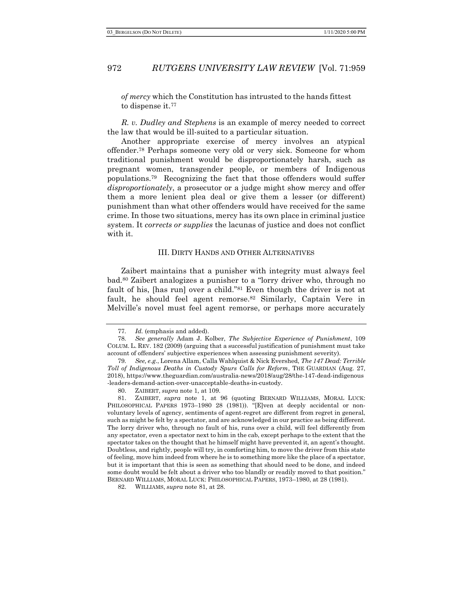of mercy which the Constitution has intrusted to the hands fittest to dispense it.<sup>77</sup>

R. v. Dudley and Stephens is an example of mercy needed to correct the law that would be ill-suited to a particular situation.

Another appropriate exercise of mercy involves an atypical offender.78 Perhaps someone very old or very sick. Someone for whom traditional punishment would be disproportionately harsh, such as pregnant women, transgender people, or members of Indigenous populations.79 Recognizing the fact that those offenders would suffer disproportionately, a prosecutor or a judge might show mercy and offer them a more lenient plea deal or give them a lesser (or different) punishment than what other offenders would have received for the same crime. In those two situations, mercy has its own place in criminal justice system. It *corrects or supplies* the lacunas of justice and does not conflict with it.

#### III. DIRTY HANDS AND OTHER ALTERNATIVES

Zaibert maintains that a punisher with integrity must always feel bad.80 Zaibert analogizes a punisher to a "lorry driver who, through no fault of his, [has run] over a child."81 Even though the driver is not at fault, he should feel agent remorse.<sup>82</sup> Similarly, Captain Vere in Melville's novel must feel agent remorse, or perhaps more accurately

<sup>77</sup>. Id. (emphasis and added).

<sup>78</sup>. See generally Adam J. Kolber, The Subjective Experience of Punishment, 109 COLUM. L. REV. 182 (2009) (arguing that a successful justification of punishment must take account of offenders' subjective experiences when assessing punishment severity).

<sup>79</sup>. See, e.g., Lorena Allam, Calla Wahlquist & Nick Evershed, The 147 Dead: Terrible Toll of Indigenous Deaths in Custody Spurs Calls for Reform, THE GUARDIAN (Aug. 27, 2018), https://www.theguardian.com/australia-news/2018/aug/28/the-147-dead-indigenous -leaders-demand-action-over-unacceptable-deaths-in-custody.

<sup>80.</sup> ZAIBERT, supra note 1, at 109.

<sup>81.</sup> ZAIBERT, supra note 1, at 96 (quoting BERNARD WILLIAMS, MORAL LUCK: PHILOSOPHICAL PAPERS 1973-1980 28 (1981)). "[E]ven at deeply accidental or nonvoluntary levels of agency, sentiments of agent-regret are different from regret in general, such as might be felt by a spectator, and are acknowledged in our practice as being different. The lorry driver who, through no fault of his, runs over a child, will feel differently from any spectator, even a spectator next to him in the cab, except perhaps to the extent that the spectator takes on the thought that he himself might have prevented it, an agent's thought. Doubtless, and rightly, people will try, in comforting him, to move the driver from this state of feeling, move him indeed from where he is to something more like the place of a spectator, but it is important that this is seen as something that should need to be done, and indeed some doubt would be felt about a driver who too blandly or readily moved to that position." BERNARD WILLIAMS, MORAL LUCK: PHILOSOPHICAL PAPERS, 1973–1980, at 28 (1981).

<sup>82.</sup> WILLIAMS, supra note 81, at 28.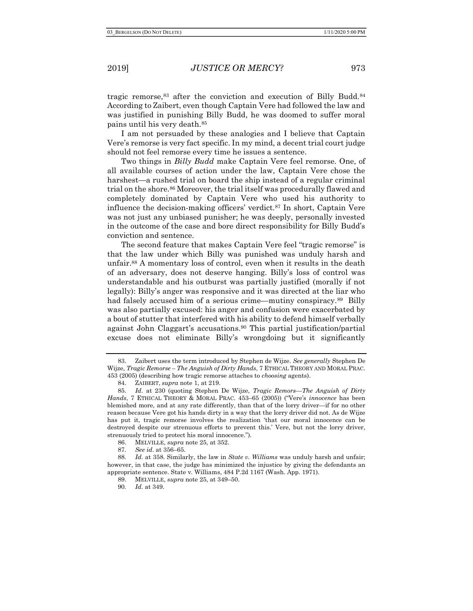tragic remorse,83 after the conviction and execution of Billy Budd.<sup>84</sup> According to Zaibert, even though Captain Vere had followed the law and was justified in punishing Billy Budd, he was doomed to suffer moral pains until his very death.<sup>85</sup>

I am not persuaded by these analogies and I believe that Captain Vere's remorse is very fact specific. In my mind, a decent trial court judge should not feel remorse every time he issues a sentence.

Two things in *Billy Budd* make Captain Vere feel remorse. One, of all available courses of action under the law, Captain Vere chose the harshest—a rushed trial on board the ship instead of a regular criminal trial on the shore.<sup>86</sup> Moreover, the trial itself was procedurally flawed and completely dominated by Captain Vere who used his authority to influence the decision-making officers' verdict.87 In short, Captain Vere was not just any unbiased punisher; he was deeply, personally invested in the outcome of the case and bore direct responsibility for Billy Budd's conviction and sentence.

The second feature that makes Captain Vere feel "tragic remorse" is that the law under which Billy was punished was unduly harsh and unfair.88 A momentary loss of control, even when it results in the death of an adversary, does not deserve hanging. Billy's loss of control was understandable and his outburst was partially justified (morally if not legally): Billy's anger was responsive and it was directed at the liar who had falsely accused him of a serious crime—mutiny conspiracy.<sup>89</sup> Billy was also partially excused: his anger and confusion were exacerbated by a bout of stutter that interfered with his ability to defend himself verbally against John Claggart's accusations.90 This partial justification/partial excuse does not eliminate Billy's wrongdoing but it significantly

<sup>83.</sup> Zaibert uses the term introduced by Stephen de Wijze. See generally Stephen De Wijze, Tragic Remorse – The Anguish of Dirty Hands, 7 ETHICAL THEORY AND MORAL PRAC. 453 (2005) (describing how tragic remorse attaches to choosing agents).

<sup>84.</sup> ZAIBERT, supra note 1, at 219.

<sup>85.</sup> Id. at 230 (quoting Stephen De Wijze, Tragic Remors—The Anguish of Dirty Hands, 7 ETHICAL THEORY & MORAL PRAC. 453-65 (2005)) ("Vere's *innocence* has been blemished more, and at any rate differently, than that of the lorry driver—if for no other reason because Vere got his hands dirty in a way that the lorry driver did not. As de Wijze has put it, tragic remorse involves the realization 'that our moral innocence can be destroyed despite our strenuous efforts to prevent this.' Vere, but not the lorry driver, strenuously tried to protect his moral innocence.").

<sup>86.</sup> MELVILLE, supra note 25, at 352.

<sup>87</sup>. See id. at 356–65.

<sup>88.</sup> Id. at 358. Similarly, the law in State v. Williams was unduly harsh and unfair; however, in that case, the judge has minimized the injustice by giving the defendants an appropriate sentence. State v. Williams, 484 P.2d 1167 (Wash. App. 1971).

<sup>89.</sup> MELVILLE, supra note 25, at 349–50.

<sup>90</sup>. Id. at 349.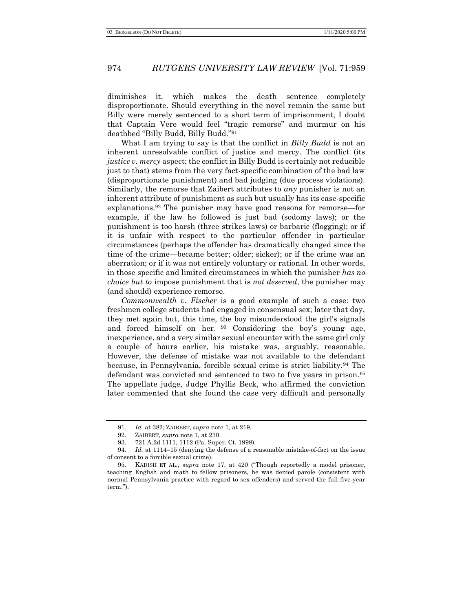diminishes it, which makes the death sentence completely disproportionate. Should everything in the novel remain the same but Billy were merely sentenced to a short term of imprisonment, I doubt that Captain Vere would feel "tragic remorse" and murmur on his deathbed "Billy Budd, Billy Budd."<sup>91</sup>

What I am trying to say is that the conflict in Billy Budd is not an inherent unresolvable conflict of justice and mercy. The conflict (its justice v. mercy aspect; the conflict in Billy Budd is certainly not reducible just to that) stems from the very fact-specific combination of the bad law (disproportionate punishment) and bad judging (due process violations). Similarly, the remorse that Zaibert attributes to any punisher is not an inherent attribute of punishment as such but usually has its case-specific explanations.92 The punisher may have good reasons for remorse—for example, if the law he followed is just bad (sodomy laws); or the punishment is too harsh (three strikes laws) or barbaric (flogging); or if it is unfair with respect to the particular offender in particular circumstances (perhaps the offender has dramatically changed since the time of the crime—became better; older; sicker); or if the crime was an aberration; or if it was not entirely voluntary or rational. In other words, in those specific and limited circumstances in which the punisher has no *choice but to impose punishment that is not deserved, the punisher may* (and should) experience remorse.

Commonwealth v. Fischer is a good example of such a case: two freshmen college students had engaged in consensual sex; later that day, they met again but, this time, the boy misunderstood the girl's signals and forced himself on her. <sup>93</sup> Considering the boy's young age, inexperience, and a very similar sexual encounter with the same girl only a couple of hours earlier, his mistake was, arguably, reasonable. However, the defense of mistake was not available to the defendant because, in Pennsylvania, forcible sexual crime is strict liability.94 The defendant was convicted and sentenced to two to five years in prison.<sup>95</sup> The appellate judge, Judge Phyllis Beck, who affirmed the conviction later commented that she found the case very difficult and personally

<sup>91</sup>. Id. at 382; ZAIBERT, supra note 1, at 219.

<sup>92.</sup> ZAIBERT, supra note 1, at 230.

<sup>93. 721</sup> A.2d 1111, 1112 (Pa. Super. Ct. 1998).

<sup>94</sup>. Id. at 1114–15 (denying the defense of a reasonable mistake-of-fact on the issue of consent to a forcible sexual crime).

<sup>95.</sup> KADISH ET AL., supra note 17, at 420 ("Though reportedly a model prisoner, teaching English and math to fellow prisoners, he was denied parole (consistent with normal Pennsylvania practice with regard to sex offenders) and served the full five-year term.").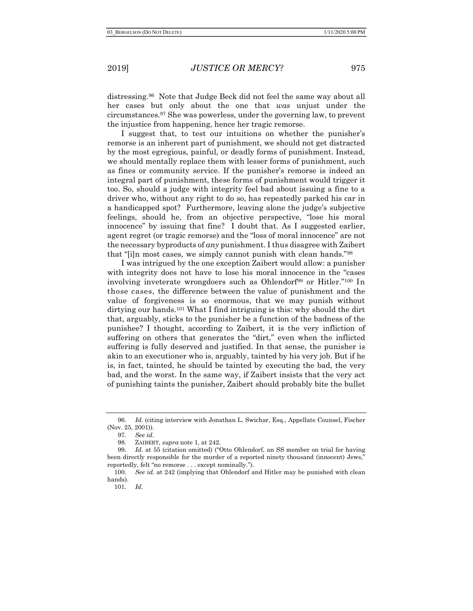distressing.96 Note that Judge Beck did not feel the same way about all her cases but only about the one that was unjust under the circumstances.97 She was powerless, under the governing law, to prevent the injustice from happening, hence her tragic remorse.

I suggest that, to test our intuitions on whether the punisher's remorse is an inherent part of punishment, we should not get distracted by the most egregious, painful, or deadly forms of punishment. Instead, we should mentally replace them with lesser forms of punishment, such as fines or community service. If the punisher's remorse is indeed an integral part of punishment, these forms of punishment would trigger it too. So, should a judge with integrity feel bad about issuing a fine to a driver who, without any right to do so, has repeatedly parked his car in a handicapped spot? Furthermore, leaving alone the judge's subjective feelings, should he, from an objective perspective, "lose his moral innocence" by issuing that fine? I doubt that. As I suggested earlier, agent regret (or tragic remorse) and the "loss of moral innocence" are not the necessary byproducts of any punishment. I thus disagree with Zaibert that "[i]n most cases, we simply cannot punish with clean hands."<sup>98</sup>

I was intrigued by the one exception Zaibert would allow: a punisher with integrity does not have to lose his moral innocence in the "cases involving inveterate wrongdoers such as Ohlendorf<sup>99</sup> or Hitler."<sup>100</sup> In those cases, the difference between the value of punishment and the value of forgiveness is so enormous, that we may punish without dirtying our hands.<sup>101</sup> What I find intriguing is this: why should the dirt that, arguably, sticks to the punisher be a function of the badness of the punishee? I thought, according to Zaibert, it is the very infliction of suffering on others that generates the "dirt," even when the inflicted suffering is fully deserved and justified. In that sense, the punisher is akin to an executioner who is, arguably, tainted by his very job. But if he is, in fact, tainted, he should be tainted by executing the bad, the very bad, and the worst. In the same way, if Zaibert insists that the very act of punishing taints the punisher, Zaibert should probably bite the bullet

<sup>96</sup>. Id. (citing interview with Jonathan L. Swichar, Esq., Appellate Counsel, Fischer (Nov. 25, 2001)).

<sup>97</sup>. See id.

<sup>98.</sup> ZAIBERT, supra note 1, at 242.

<sup>99</sup>. Id. at 55 (citation omitted) ("Otto Ohlendorf, an SS member on trial for having been directly responsible for the murder of a reported ninety thousand (innocent) Jews," reportedly, felt "no remorse . . . except nominally.").

<sup>100</sup>. See id. at 242 (implying that Ohlendorf and Hitler may be punished with clean hands).

<sup>101</sup>. Id.